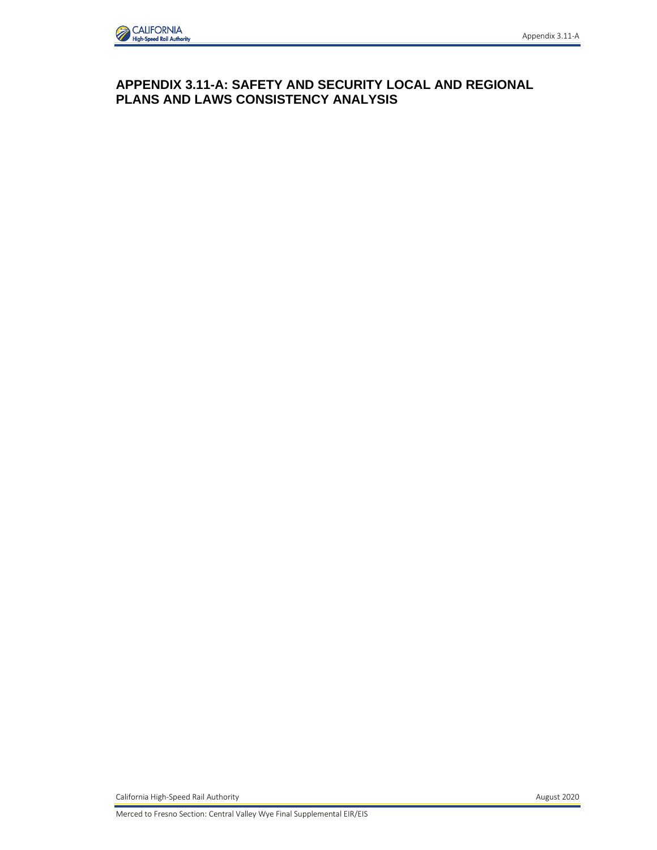

## **APPENDIX 3.11-A: SAFETY AND SECURITY LOCAL AND REGIONAL PLANS AND LAWS CONSISTENCY ANALYSIS**

California High-Speed Rail Authority **August 2020 August 2020**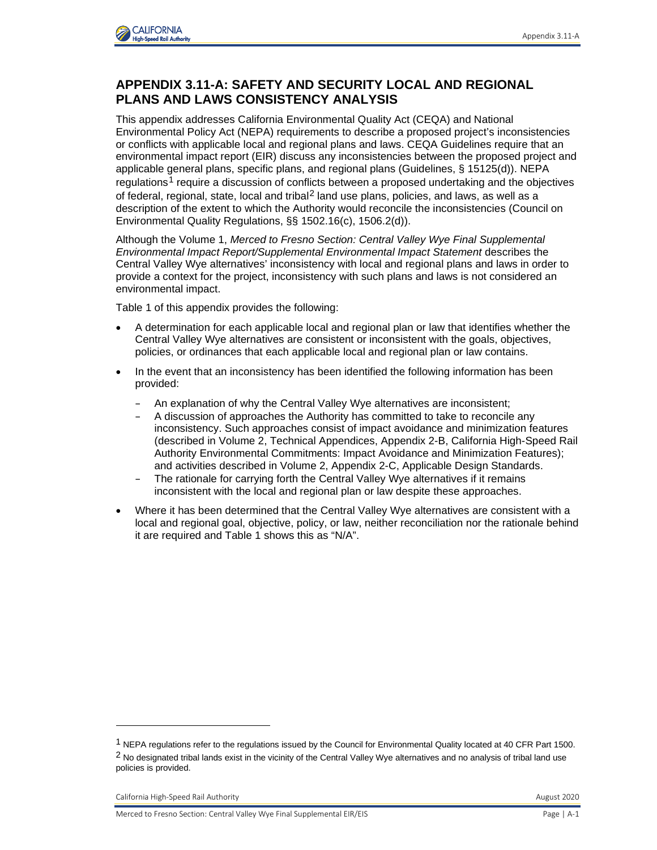

## **APPENDIX 3.11-A: SAFETY AND SECURITY LOCAL AND REGIONAL PLANS AND LAWS CONSISTENCY ANALYSIS**

This appendix addresses California Environmental Quality Act (CEQA) and National Environmental Policy Act (NEPA) requirements to describe a proposed project's inconsistencies or conflicts with applicable local and regional plans and laws. CEQA Guidelines require that an environmental impact report (EIR) discuss any inconsistencies between the proposed project and applicable general plans, specific plans, and regional plans (Guidelines, § 15125(d)). NEPA regulations<sup>[1](#page-1-0)</sup> require a discussion of conflicts between a proposed undertaking and the objectives of federal, regional, state, local and tribal<sup>[2](#page-1-1)</sup> land use plans, policies, and laws, as well as a description of the extent to which the Authority would reconcile the inconsistencies (Council on Environmental Quality Regulations, §§ 1502.16(c), 1506.2(d)).

Although the Volume 1, *Merced to Fresno Section: Central Valley Wye Final Supplemental Environmental Impact Report/Supplemental Environmental Impact Statement* describes the Central Valley Wye alternatives' inconsistency with local and regional plans and laws in order to provide a context for the project, inconsistency with such plans and laws is not considered an environmental impact.

Table 1 of this appendix provides the following:

- A determination for each applicable local and regional plan or law that identifies whether the Central Valley Wye alternatives are consistent or inconsistent with the goals, objectives, policies, or ordinances that each applicable local and regional plan or law contains.
- In the event that an inconsistency has been identified the following information has been provided:
	- An explanation of why the Central Valley Wye alternatives are inconsistent;
	- A discussion of approaches the Authority has committed to take to reconcile any inconsistency. Such approaches consist of impact avoidance and minimization features (described in Volume 2, Technical Appendices, Appendix 2-B, California High-Speed Rail Authority Environmental Commitments: Impact Avoidance and Minimization Features); and activities described in Volume 2, Appendix 2-C, Applicable Design Standards.
	- The rationale for carrying forth the Central Valley Wye alternatives if it remains inconsistent with the local and regional plan or law despite these approaches.
- Where it has been determined that the Central Valley Wye alternatives are consistent with a local and regional goal, objective, policy, or law, neither reconciliation nor the rationale behind it are required and Table 1 shows this as "N/A".

<span id="page-1-1"></span><span id="page-1-0"></span><sup>&</sup>lt;sup>1</sup> NEPA regulations refer to the regulations issued by the Council for Environmental Quality located at 40 CFR Part 1500. <sup>2</sup> No designated tribal lands exist in the vicinity of the Central Valley Wye alternatives and no analysis of tribal land use policies is provided.

California High-Speed Rail Authority **August 2020** California High-Speed Rail Authority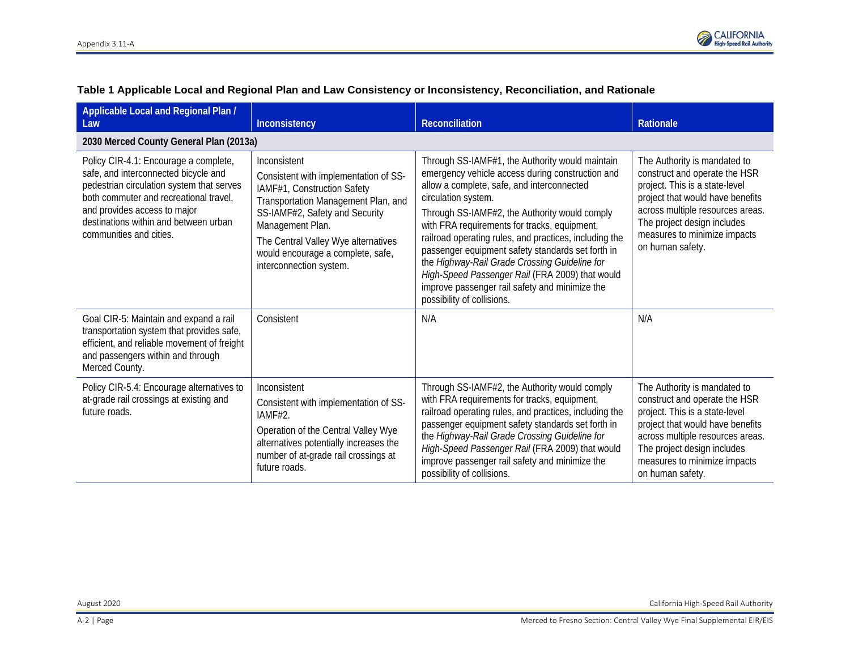

| Applicable Local and Regional Plan /<br>Law                                                                                                                                                                                                                              | Inconsistency                                                                                                                                                                                                                                                                            | <b>Reconciliation</b>                                                                                                                                                                                                                                                                                                                                                                                                                                                                                                                                                        | Rationale                                                                                                                                                                                                                                                  |
|--------------------------------------------------------------------------------------------------------------------------------------------------------------------------------------------------------------------------------------------------------------------------|------------------------------------------------------------------------------------------------------------------------------------------------------------------------------------------------------------------------------------------------------------------------------------------|------------------------------------------------------------------------------------------------------------------------------------------------------------------------------------------------------------------------------------------------------------------------------------------------------------------------------------------------------------------------------------------------------------------------------------------------------------------------------------------------------------------------------------------------------------------------------|------------------------------------------------------------------------------------------------------------------------------------------------------------------------------------------------------------------------------------------------------------|
| 2030 Merced County General Plan (2013a)                                                                                                                                                                                                                                  |                                                                                                                                                                                                                                                                                          |                                                                                                                                                                                                                                                                                                                                                                                                                                                                                                                                                                              |                                                                                                                                                                                                                                                            |
| Policy CIR-4.1: Encourage a complete,<br>safe, and interconnected bicycle and<br>pedestrian circulation system that serves<br>both commuter and recreational travel.<br>and provides access to major<br>destinations within and between urban<br>communities and cities. | Inconsistent<br>Consistent with implementation of SS-<br>IAMF#1, Construction Safety<br>Transportation Management Plan, and<br>SS-IAMF#2, Safety and Security<br>Management Plan.<br>The Central Valley Wye alternatives<br>would encourage a complete, safe,<br>interconnection system. | Through SS-IAMF#1, the Authority would maintain<br>emergency vehicle access during construction and<br>allow a complete, safe, and interconnected<br>circulation system.<br>Through SS-IAMF#2, the Authority would comply<br>with FRA requirements for tracks, equipment,<br>railroad operating rules, and practices, including the<br>passenger equipment safety standards set forth in<br>the Highway-Rail Grade Crossing Guideline for<br>High-Speed Passenger Rail (FRA 2009) that would<br>improve passenger rail safety and minimize the<br>possibility of collisions. | The Authority is mandated to<br>construct and operate the HSR<br>project. This is a state-level<br>project that would have benefits<br>across multiple resources areas.<br>The project design includes<br>measures to minimize impacts<br>on human safety. |
| Goal CIR-5: Maintain and expand a rail<br>transportation system that provides safe,<br>efficient, and reliable movement of freight<br>and passengers within and through<br>Merced County.                                                                                | Consistent                                                                                                                                                                                                                                                                               | N/A                                                                                                                                                                                                                                                                                                                                                                                                                                                                                                                                                                          | N/A                                                                                                                                                                                                                                                        |
| Policy CIR-5.4: Encourage alternatives to<br>at-grade rail crossings at existing and<br>future roads.                                                                                                                                                                    | Inconsistent<br>Consistent with implementation of SS-<br>IAMF#2.<br>Operation of the Central Valley Wye<br>alternatives potentially increases the<br>number of at-grade rail crossings at<br>future roads.                                                                               | Through SS-IAMF#2, the Authority would comply<br>with FRA requirements for tracks, equipment,<br>railroad operating rules, and practices, including the<br>passenger equipment safety standards set forth in<br>the Highway-Rail Grade Crossing Guideline for<br>High-Speed Passenger Rail (FRA 2009) that would<br>improve passenger rail safety and minimize the<br>possibility of collisions.                                                                                                                                                                             | The Authority is mandated to<br>construct and operate the HSR<br>project. This is a state-level<br>project that would have benefits<br>across multiple resources areas.<br>The project design includes<br>measures to minimize impacts<br>on human safety. |

## **Table 1 Applicable Local and Regional Plan and Law Consistency or Inconsistency, Reconciliation, and Rationale**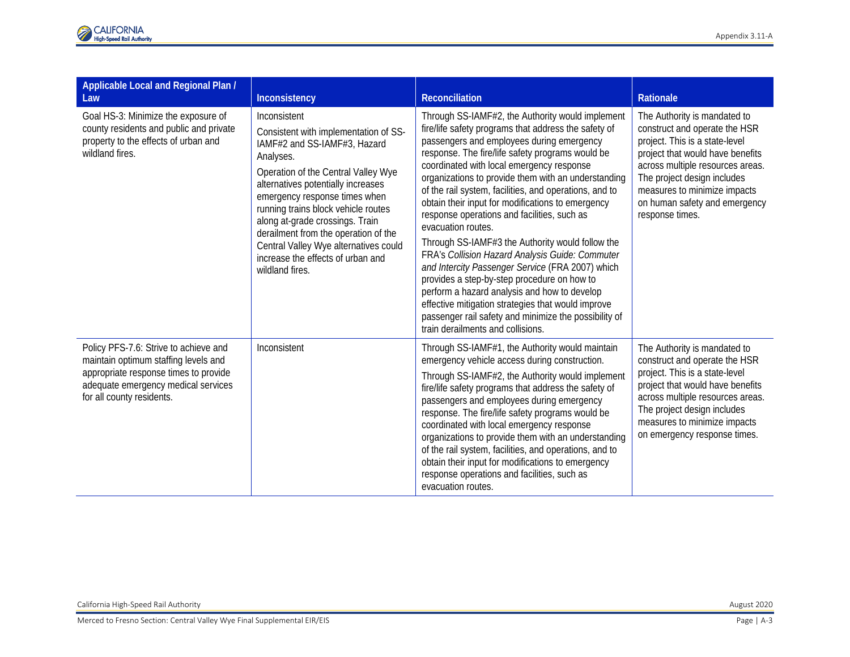| Applicable Local and Regional Plan /<br>Law                                                                                                                                                | Inconsistency                                                                                                                                                                                                                                                                                                                                                                                                                       | <b>Reconciliation</b>                                                                                                                                                                                                                                                                                                                                                                                                                                                                                                                                                                                                                                                                                                                                                                                                                                                                                           | Rationale                                                                                                                                                                                                                                                                                  |
|--------------------------------------------------------------------------------------------------------------------------------------------------------------------------------------------|-------------------------------------------------------------------------------------------------------------------------------------------------------------------------------------------------------------------------------------------------------------------------------------------------------------------------------------------------------------------------------------------------------------------------------------|-----------------------------------------------------------------------------------------------------------------------------------------------------------------------------------------------------------------------------------------------------------------------------------------------------------------------------------------------------------------------------------------------------------------------------------------------------------------------------------------------------------------------------------------------------------------------------------------------------------------------------------------------------------------------------------------------------------------------------------------------------------------------------------------------------------------------------------------------------------------------------------------------------------------|--------------------------------------------------------------------------------------------------------------------------------------------------------------------------------------------------------------------------------------------------------------------------------------------|
| Goal HS-3: Minimize the exposure of<br>county residents and public and private<br>property to the effects of urban and<br>wildland fires.                                                  | Inconsistent<br>Consistent with implementation of SS-<br>IAMF#2 and SS-IAMF#3, Hazard<br>Analyses.<br>Operation of the Central Valley Wye<br>alternatives potentially increases<br>emergency response times when<br>running trains block vehicle routes<br>along at-grade crossings. Train<br>derailment from the operation of the<br>Central Valley Wye alternatives could<br>increase the effects of urban and<br>wildland fires. | Through SS-IAMF#2, the Authority would implement<br>fire/life safety programs that address the safety of<br>passengers and employees during emergency<br>response. The fire/life safety programs would be<br>coordinated with local emergency response<br>organizations to provide them with an understanding<br>of the rail system, facilities, and operations, and to<br>obtain their input for modifications to emergency<br>response operations and facilities, such as<br>evacuation routes.<br>Through SS-IAMF#3 the Authority would follow the<br>FRA's Collision Hazard Analysis Guide: Commuter<br>and Intercity Passenger Service (FRA 2007) which<br>provides a step-by-step procedure on how to<br>perform a hazard analysis and how to develop<br>effective mitigation strategies that would improve<br>passenger rail safety and minimize the possibility of<br>train derailments and collisions. | The Authority is mandated to<br>construct and operate the HSR<br>project. This is a state-level<br>project that would have benefits<br>across multiple resources areas.<br>The project design includes<br>measures to minimize impacts<br>on human safety and emergency<br>response times. |
| Policy PFS-7.6: Strive to achieve and<br>maintain optimum staffing levels and<br>appropriate response times to provide<br>adequate emergency medical services<br>for all county residents. | Inconsistent                                                                                                                                                                                                                                                                                                                                                                                                                        | Through SS-IAMF#1, the Authority would maintain<br>emergency vehicle access during construction.<br>Through SS-IAMF#2, the Authority would implement<br>fire/life safety programs that address the safety of<br>passengers and employees during emergency<br>response. The fire/life safety programs would be<br>coordinated with local emergency response<br>organizations to provide them with an understanding<br>of the rail system, facilities, and operations, and to<br>obtain their input for modifications to emergency<br>response operations and facilities, such as<br>evacuation routes.                                                                                                                                                                                                                                                                                                           | The Authority is mandated to<br>construct and operate the HSR<br>project. This is a state-level<br>project that would have benefits<br>across multiple resources areas.<br>The project design includes<br>measures to minimize impacts<br>on emergency response times.                     |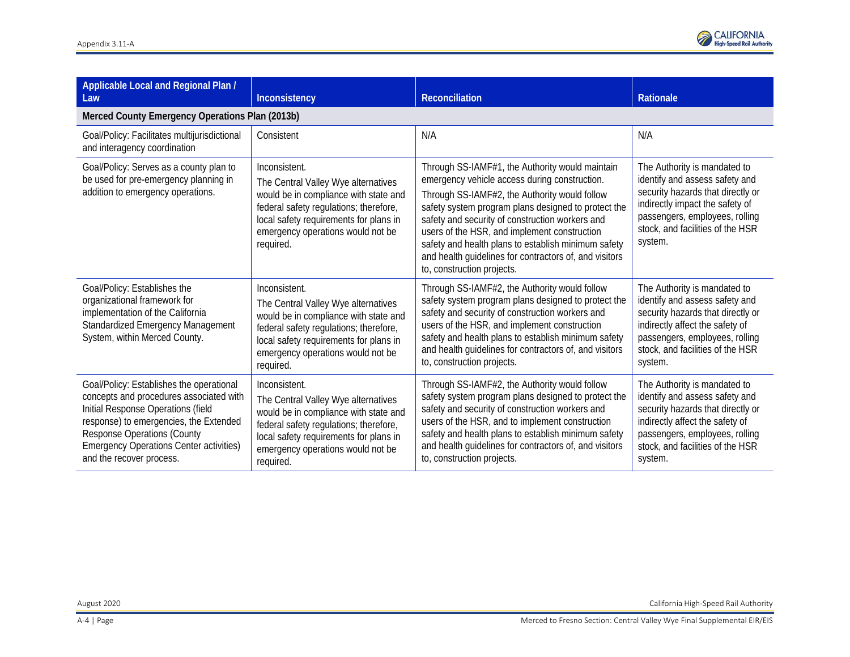

| Applicable Local and Regional Plan /<br>Law                                                                                                                                                                                                                                             | Inconsistency                                                                                                                                                                                                                       | Reconciliation                                                                                                                                                                                                                                                                                                                                                                                                                                             | <b>Rationale</b>                                                                                                                                                                                                        |
|-----------------------------------------------------------------------------------------------------------------------------------------------------------------------------------------------------------------------------------------------------------------------------------------|-------------------------------------------------------------------------------------------------------------------------------------------------------------------------------------------------------------------------------------|------------------------------------------------------------------------------------------------------------------------------------------------------------------------------------------------------------------------------------------------------------------------------------------------------------------------------------------------------------------------------------------------------------------------------------------------------------|-------------------------------------------------------------------------------------------------------------------------------------------------------------------------------------------------------------------------|
| Merced County Emergency Operations Plan (2013b)                                                                                                                                                                                                                                         |                                                                                                                                                                                                                                     |                                                                                                                                                                                                                                                                                                                                                                                                                                                            |                                                                                                                                                                                                                         |
| Goal/Policy: Facilitates multijurisdictional<br>and interagency coordination                                                                                                                                                                                                            | Consistent                                                                                                                                                                                                                          | N/A                                                                                                                                                                                                                                                                                                                                                                                                                                                        | N/A                                                                                                                                                                                                                     |
| Goal/Policy: Serves as a county plan to<br>be used for pre-emergency planning in<br>addition to emergency operations.                                                                                                                                                                   | Inconsistent.<br>The Central Valley Wye alternatives<br>would be in compliance with state and<br>federal safety regulations; therefore,<br>local safety requirements for plans in<br>emergency operations would not be<br>required. | Through SS-IAMF#1, the Authority would maintain<br>emergency vehicle access during construction.<br>Through SS-IAMF#2, the Authority would follow<br>safety system program plans designed to protect the<br>safety and security of construction workers and<br>users of the HSR, and implement construction<br>safety and health plans to establish minimum safety<br>and health guidelines for contractors of, and visitors<br>to, construction projects. | The Authority is mandated to<br>identify and assess safety and<br>security hazards that directly or<br>indirectly impact the safety of<br>passengers, employees, rolling<br>stock, and facilities of the HSR<br>system. |
| Goal/Policy: Establishes the<br>organizational framework for<br>implementation of the California<br><b>Standardized Emergency Management</b><br>System, within Merced County.                                                                                                           | Inconsistent.<br>The Central Valley Wye alternatives<br>would be in compliance with state and<br>federal safety regulations; therefore,<br>local safety requirements for plans in<br>emergency operations would not be<br>required. | Through SS-IAMF#2, the Authority would follow<br>safety system program plans designed to protect the<br>safety and security of construction workers and<br>users of the HSR, and implement construction<br>safety and health plans to establish minimum safety<br>and health guidelines for contractors of, and visitors<br>to, construction projects.                                                                                                     | The Authority is mandated to<br>identify and assess safety and<br>security hazards that directly or<br>indirectly affect the safety of<br>passengers, employees, rolling<br>stock, and facilities of the HSR<br>system. |
| Goal/Policy: Establishes the operational<br>concepts and procedures associated with<br>Initial Response Operations (field<br>response) to emergencies, the Extended<br><b>Response Operations (County</b><br><b>Emergency Operations Center activities)</b><br>and the recover process. | Inconsistent.<br>The Central Valley Wye alternatives<br>would be in compliance with state and<br>federal safety regulations; therefore,<br>local safety requirements for plans in<br>emergency operations would not be<br>required. | Through SS-IAMF#2, the Authority would follow<br>safety system program plans designed to protect the<br>safety and security of construction workers and<br>users of the HSR, and to implement construction<br>safety and health plans to establish minimum safety<br>and health guidelines for contractors of, and visitors<br>to, construction projects.                                                                                                  | The Authority is mandated to<br>identify and assess safety and<br>security hazards that directly or<br>indirectly affect the safety of<br>passengers, employees, rolling<br>stock, and facilities of the HSR<br>system. |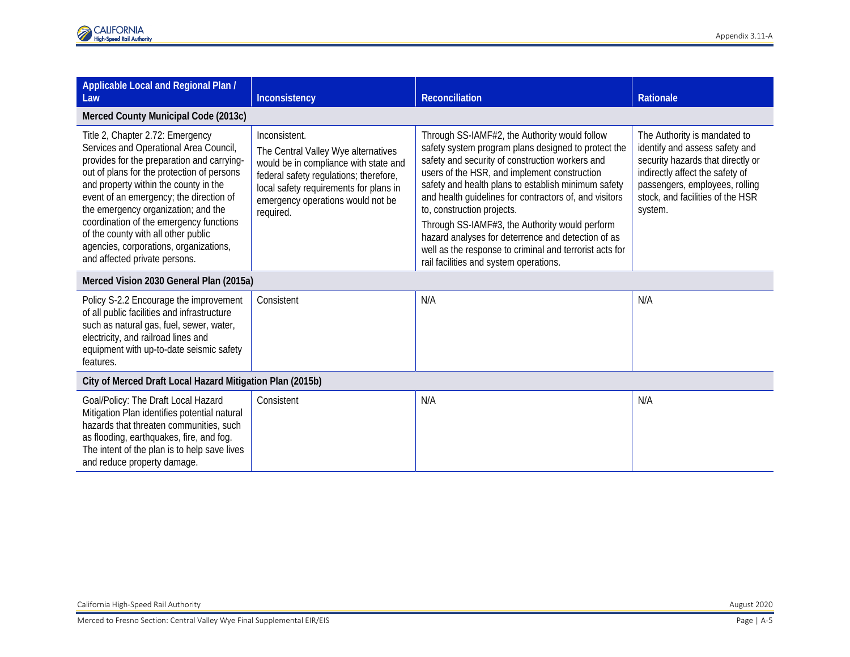| Applicable Local and Regional Plan /<br>Law                                                                                                                                                                                                                                                                                                                                                                                                                    | Inconsistency                                                                                                                                                                                                                       | <b>Reconciliation</b>                                                                                                                                                                                                                                                                                                                                                                                                                                                                                                                                               | <b>Rationale</b>                                                                                                                                                                                                        |  |
|----------------------------------------------------------------------------------------------------------------------------------------------------------------------------------------------------------------------------------------------------------------------------------------------------------------------------------------------------------------------------------------------------------------------------------------------------------------|-------------------------------------------------------------------------------------------------------------------------------------------------------------------------------------------------------------------------------------|---------------------------------------------------------------------------------------------------------------------------------------------------------------------------------------------------------------------------------------------------------------------------------------------------------------------------------------------------------------------------------------------------------------------------------------------------------------------------------------------------------------------------------------------------------------------|-------------------------------------------------------------------------------------------------------------------------------------------------------------------------------------------------------------------------|--|
| Merced County Municipal Code (2013c)                                                                                                                                                                                                                                                                                                                                                                                                                           |                                                                                                                                                                                                                                     |                                                                                                                                                                                                                                                                                                                                                                                                                                                                                                                                                                     |                                                                                                                                                                                                                         |  |
| Title 2, Chapter 2.72: Emergency<br>Services and Operational Area Council,<br>provides for the preparation and carrying-<br>out of plans for the protection of persons<br>and property within the county in the<br>event of an emergency; the direction of<br>the emergency organization; and the<br>coordination of the emergency functions<br>of the county with all other public<br>agencies, corporations, organizations,<br>and affected private persons. | Inconsistent.<br>The Central Valley Wye alternatives<br>would be in compliance with state and<br>federal safety regulations; therefore,<br>local safety requirements for plans in<br>emergency operations would not be<br>required. | Through SS-IAMF#2, the Authority would follow<br>safety system program plans designed to protect the<br>safety and security of construction workers and<br>users of the HSR, and implement construction<br>safety and health plans to establish minimum safety<br>and health guidelines for contractors of, and visitors<br>to, construction projects.<br>Through SS-IAMF#3, the Authority would perform<br>hazard analyses for deterrence and detection of as<br>well as the response to criminal and terrorist acts for<br>rail facilities and system operations. | The Authority is mandated to<br>identify and assess safety and<br>security hazards that directly or<br>indirectly affect the safety of<br>passengers, employees, rolling<br>stock, and facilities of the HSR<br>system. |  |
| Merced Vision 2030 General Plan (2015a)                                                                                                                                                                                                                                                                                                                                                                                                                        |                                                                                                                                                                                                                                     |                                                                                                                                                                                                                                                                                                                                                                                                                                                                                                                                                                     |                                                                                                                                                                                                                         |  |
| Policy S-2.2 Encourage the improvement<br>of all public facilities and infrastructure<br>such as natural gas, fuel, sewer, water,<br>electricity, and railroad lines and<br>equipment with up-to-date seismic safety<br>features.                                                                                                                                                                                                                              | Consistent                                                                                                                                                                                                                          | N/A                                                                                                                                                                                                                                                                                                                                                                                                                                                                                                                                                                 | N/A                                                                                                                                                                                                                     |  |
| City of Merced Draft Local Hazard Mitigation Plan (2015b)                                                                                                                                                                                                                                                                                                                                                                                                      |                                                                                                                                                                                                                                     |                                                                                                                                                                                                                                                                                                                                                                                                                                                                                                                                                                     |                                                                                                                                                                                                                         |  |
| Goal/Policy: The Draft Local Hazard<br>Mitigation Plan identifies potential natural<br>hazards that threaten communities, such<br>as flooding, earthquakes, fire, and fog.<br>The intent of the plan is to help save lives<br>and reduce property damage.                                                                                                                                                                                                      | Consistent                                                                                                                                                                                                                          | N/A                                                                                                                                                                                                                                                                                                                                                                                                                                                                                                                                                                 | N/A                                                                                                                                                                                                                     |  |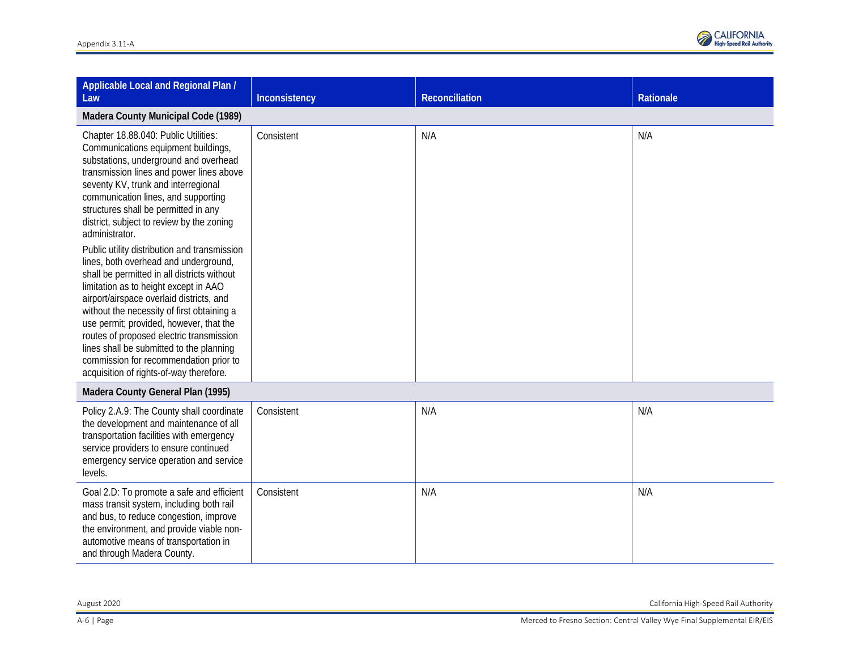

| Applicable Local and Regional Plan /<br>Law                                                                                                                                                                                                                                                                                                                                                                                                                                                     | Inconsistency | Reconciliation | Rationale |
|-------------------------------------------------------------------------------------------------------------------------------------------------------------------------------------------------------------------------------------------------------------------------------------------------------------------------------------------------------------------------------------------------------------------------------------------------------------------------------------------------|---------------|----------------|-----------|
| Madera County Municipal Code (1989)                                                                                                                                                                                                                                                                                                                                                                                                                                                             |               |                |           |
| Chapter 18.88.040: Public Utilities:<br>Communications equipment buildings,<br>substations, underground and overhead<br>transmission lines and power lines above<br>seventy KV, trunk and interregional<br>communication lines, and supporting<br>structures shall be permitted in any<br>district, subject to review by the zoning<br>administrator.                                                                                                                                           | Consistent    | N/A            | N/A       |
| Public utility distribution and transmission<br>lines, both overhead and underground,<br>shall be permitted in all districts without<br>limitation as to height except in AAO<br>airport/airspace overlaid districts, and<br>without the necessity of first obtaining a<br>use permit; provided, however, that the<br>routes of proposed electric transmission<br>lines shall be submitted to the planning<br>commission for recommendation prior to<br>acquisition of rights-of-way therefore. |               |                |           |
| Madera County General Plan (1995)                                                                                                                                                                                                                                                                                                                                                                                                                                                               |               |                |           |
| Policy 2.A.9: The County shall coordinate<br>the development and maintenance of all<br>transportation facilities with emergency<br>service providers to ensure continued<br>emergency service operation and service<br>levels.                                                                                                                                                                                                                                                                  | Consistent    | N/A            | N/A       |
| Goal 2.D: To promote a safe and efficient<br>mass transit system, including both rail<br>and bus, to reduce congestion, improve<br>the environment, and provide viable non-<br>automotive means of transportation in<br>and through Madera County.                                                                                                                                                                                                                                              | Consistent    | N/A            | N/A       |

August 2020 California High-Speed Rail Authority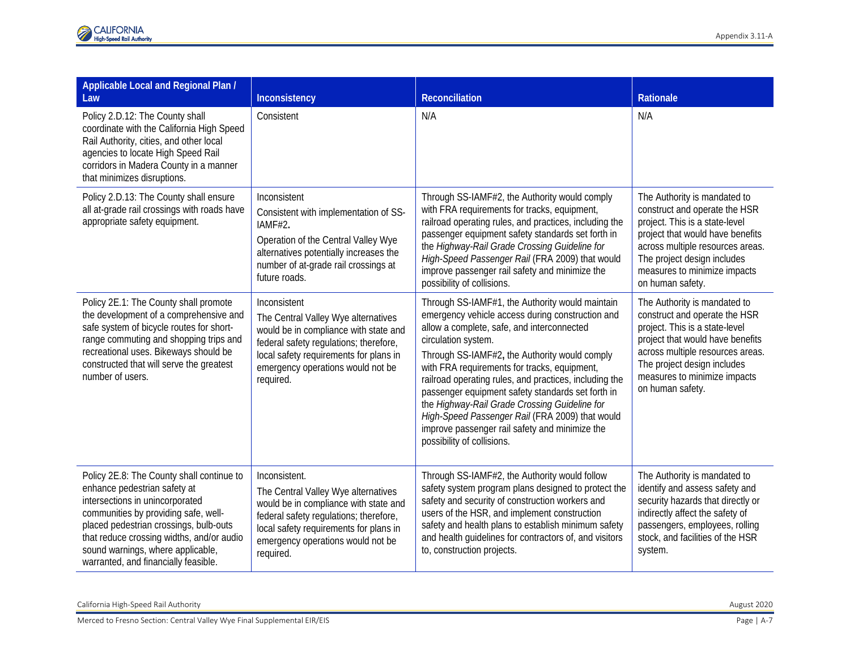| Applicable Local and Regional Plan /<br>Law                                                                                                                                                                                                                                                                              | Inconsistency                                                                                                                                                                                                                       | <b>Reconciliation</b>                                                                                                                                                                                                                                                                                                                                                                                                                                                                                                                                                        | Rationale                                                                                                                                                                                                                                                  |
|--------------------------------------------------------------------------------------------------------------------------------------------------------------------------------------------------------------------------------------------------------------------------------------------------------------------------|-------------------------------------------------------------------------------------------------------------------------------------------------------------------------------------------------------------------------------------|------------------------------------------------------------------------------------------------------------------------------------------------------------------------------------------------------------------------------------------------------------------------------------------------------------------------------------------------------------------------------------------------------------------------------------------------------------------------------------------------------------------------------------------------------------------------------|------------------------------------------------------------------------------------------------------------------------------------------------------------------------------------------------------------------------------------------------------------|
| Policy 2.D.12: The County shall<br>coordinate with the California High Speed<br>Rail Authority, cities, and other local<br>agencies to locate High Speed Rail<br>corridors in Madera County in a manner<br>that minimizes disruptions.                                                                                   | Consistent                                                                                                                                                                                                                          | N/A                                                                                                                                                                                                                                                                                                                                                                                                                                                                                                                                                                          | N/A                                                                                                                                                                                                                                                        |
| Policy 2.D.13: The County shall ensure<br>all at-grade rail crossings with roads have<br>appropriate safety equipment.                                                                                                                                                                                                   | Inconsistent<br>Consistent with implementation of SS-<br>IAMF#2.<br>Operation of the Central Valley Wye<br>alternatives potentially increases the<br>number of at-grade rail crossings at<br>future roads.                          | Through SS-IAMF#2, the Authority would comply<br>with FRA requirements for tracks, equipment,<br>railroad operating rules, and practices, including the<br>passenger equipment safety standards set forth in<br>the Highway-Rail Grade Crossing Guideline for<br>High-Speed Passenger Rail (FRA 2009) that would<br>improve passenger rail safety and minimize the<br>possibility of collisions.                                                                                                                                                                             | The Authority is mandated to<br>construct and operate the HSR<br>project. This is a state-level<br>project that would have benefits<br>across multiple resources areas.<br>The project design includes<br>measures to minimize impacts<br>on human safety. |
| Policy 2E.1: The County shall promote<br>the development of a comprehensive and<br>safe system of bicycle routes for short-<br>range commuting and shopping trips and<br>recreational uses. Bikeways should be<br>constructed that will serve the greatest<br>number of users.                                           | Inconsistent<br>The Central Valley Wye alternatives<br>would be in compliance with state and<br>federal safety regulations; therefore,<br>local safety requirements for plans in<br>emergency operations would not be<br>required.  | Through SS-IAMF#1, the Authority would maintain<br>emergency vehicle access during construction and<br>allow a complete, safe, and interconnected<br>circulation system.<br>Through SS-IAMF#2, the Authority would comply<br>with FRA requirements for tracks, equipment,<br>railroad operating rules, and practices, including the<br>passenger equipment safety standards set forth in<br>the Highway-Rail Grade Crossing Guideline for<br>High-Speed Passenger Rail (FRA 2009) that would<br>improve passenger rail safety and minimize the<br>possibility of collisions. | The Authority is mandated to<br>construct and operate the HSR<br>project. This is a state-level<br>project that would have benefits<br>across multiple resources areas.<br>The project design includes<br>measures to minimize impacts<br>on human safety. |
| Policy 2E.8: The County shall continue to<br>enhance pedestrian safety at<br>intersections in unincorporated<br>communities by providing safe, well-<br>placed pedestrian crossings, bulb-outs<br>that reduce crossing widths, and/or audio<br>sound warnings, where applicable,<br>warranted, and financially feasible. | Inconsistent.<br>The Central Valley Wye alternatives<br>would be in compliance with state and<br>federal safety regulations; therefore,<br>local safety requirements for plans in<br>emergency operations would not be<br>required. | Through SS-IAMF#2, the Authority would follow<br>safety system program plans designed to protect the<br>safety and security of construction workers and<br>users of the HSR, and implement construction<br>safety and health plans to establish minimum safety<br>and health guidelines for contractors of, and visitors<br>to, construction projects.                                                                                                                                                                                                                       | The Authority is mandated to<br>identify and assess safety and<br>security hazards that directly or<br>indirectly affect the safety of<br>passengers, employees, rolling<br>stock, and facilities of the HSR<br>system.                                    |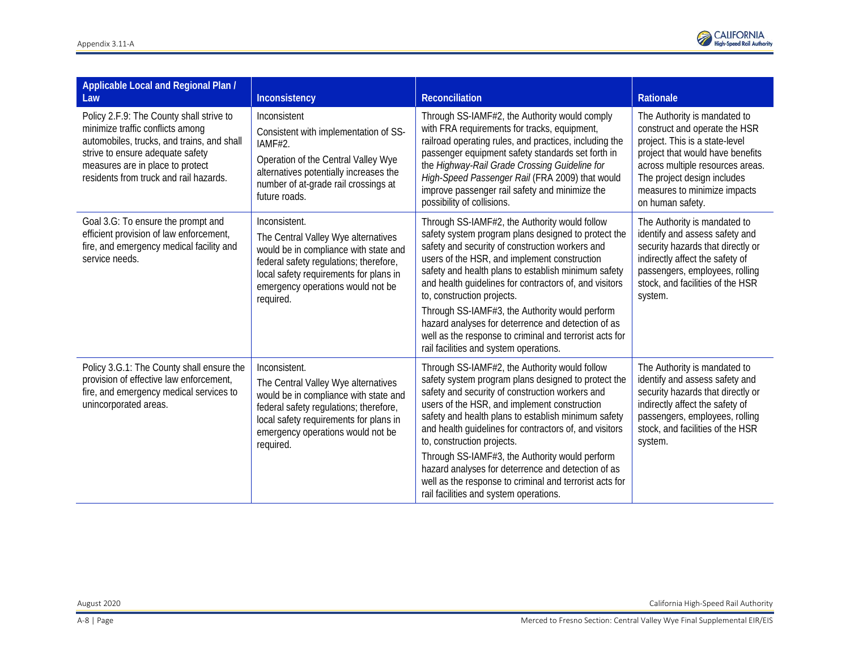

| Applicable Local and Regional Plan /<br>Law                                                                                                                                                                                                  | Inconsistency                                                                                                                                                                                                                       | Reconciliation                                                                                                                                                                                                                                                                                                                                                                                                                                                                                                                                                      | Rationale                                                                                                                                                                                                                                                  |
|----------------------------------------------------------------------------------------------------------------------------------------------------------------------------------------------------------------------------------------------|-------------------------------------------------------------------------------------------------------------------------------------------------------------------------------------------------------------------------------------|---------------------------------------------------------------------------------------------------------------------------------------------------------------------------------------------------------------------------------------------------------------------------------------------------------------------------------------------------------------------------------------------------------------------------------------------------------------------------------------------------------------------------------------------------------------------|------------------------------------------------------------------------------------------------------------------------------------------------------------------------------------------------------------------------------------------------------------|
| Policy 2.F.9: The County shall strive to<br>minimize traffic conflicts among<br>automobiles, trucks, and trains, and shall<br>strive to ensure adequate safety<br>measures are in place to protect<br>residents from truck and rail hazards. | Inconsistent<br>Consistent with implementation of SS-<br>IAMF#2.<br>Operation of the Central Valley Wye<br>alternatives potentially increases the<br>number of at-grade rail crossings at<br>future roads.                          | Through SS-IAMF#2, the Authority would comply<br>with FRA requirements for tracks, equipment,<br>railroad operating rules, and practices, including the<br>passenger equipment safety standards set forth in<br>the Highway-Rail Grade Crossing Guideline for<br>High-Speed Passenger Rail (FRA 2009) that would<br>improve passenger rail safety and minimize the<br>possibility of collisions.                                                                                                                                                                    | The Authority is mandated to<br>construct and operate the HSR<br>project. This is a state-level<br>project that would have benefits<br>across multiple resources areas.<br>The project design includes<br>measures to minimize impacts<br>on human safety. |
| Goal 3.G: To ensure the prompt and<br>efficient provision of law enforcement,<br>fire, and emergency medical facility and<br>service needs.                                                                                                  | Inconsistent.<br>The Central Valley Wye alternatives<br>would be in compliance with state and<br>federal safety regulations; therefore,<br>local safety requirements for plans in<br>emergency operations would not be<br>required. | Through SS-IAMF#2, the Authority would follow<br>safety system program plans designed to protect the<br>safety and security of construction workers and<br>users of the HSR, and implement construction<br>safety and health plans to establish minimum safety<br>and health guidelines for contractors of, and visitors<br>to, construction projects.<br>Through SS-IAMF#3, the Authority would perform<br>hazard analyses for deterrence and detection of as<br>well as the response to criminal and terrorist acts for<br>rail facilities and system operations. | The Authority is mandated to<br>identify and assess safety and<br>security hazards that directly or<br>indirectly affect the safety of<br>passengers, employees, rolling<br>stock, and facilities of the HSR<br>system.                                    |
| Policy 3.G.1: The County shall ensure the<br>provision of effective law enforcement,<br>fire, and emergency medical services to<br>unincorporated areas.                                                                                     | Inconsistent.<br>The Central Valley Wye alternatives<br>would be in compliance with state and<br>federal safety regulations; therefore,<br>local safety requirements for plans in<br>emergency operations would not be<br>required. | Through SS-IAMF#2, the Authority would follow<br>safety system program plans designed to protect the<br>safety and security of construction workers and<br>users of the HSR, and implement construction<br>safety and health plans to establish minimum safety<br>and health guidelines for contractors of, and visitors<br>to, construction projects.<br>Through SS-IAMF#3, the Authority would perform<br>hazard analyses for deterrence and detection of as<br>well as the response to criminal and terrorist acts for<br>rail facilities and system operations. | The Authority is mandated to<br>identify and assess safety and<br>security hazards that directly or<br>indirectly affect the safety of<br>passengers, employees, rolling<br>stock, and facilities of the HSR<br>system.                                    |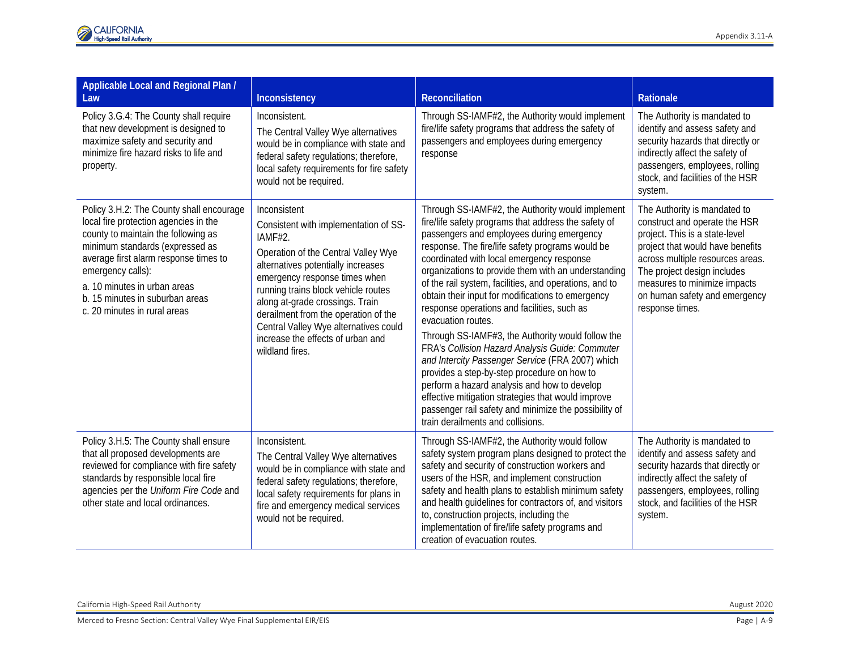| Applicable Local and Regional Plan /<br>Law                                                                                                                                                                                                                                                                                  | Inconsistency                                                                                                                                                                                                                                                                                                                                                                                     | Reconciliation                                                                                                                                                                                                                                                                                                                                                                                                                                                                                                                                                                                                                                                                                                                                                                                                                                                                                                   | Rationale                                                                                                                                                                                                                                                                                  |
|------------------------------------------------------------------------------------------------------------------------------------------------------------------------------------------------------------------------------------------------------------------------------------------------------------------------------|---------------------------------------------------------------------------------------------------------------------------------------------------------------------------------------------------------------------------------------------------------------------------------------------------------------------------------------------------------------------------------------------------|------------------------------------------------------------------------------------------------------------------------------------------------------------------------------------------------------------------------------------------------------------------------------------------------------------------------------------------------------------------------------------------------------------------------------------------------------------------------------------------------------------------------------------------------------------------------------------------------------------------------------------------------------------------------------------------------------------------------------------------------------------------------------------------------------------------------------------------------------------------------------------------------------------------|--------------------------------------------------------------------------------------------------------------------------------------------------------------------------------------------------------------------------------------------------------------------------------------------|
| Policy 3.G.4: The County shall require<br>that new development is designed to<br>maximize safety and security and<br>minimize fire hazard risks to life and<br>property.                                                                                                                                                     | Inconsistent.<br>The Central Valley Wye alternatives<br>would be in compliance with state and<br>federal safety regulations; therefore,<br>local safety requirements for fire safety<br>would not be required.                                                                                                                                                                                    | Through SS-IAMF#2, the Authority would implement<br>fire/life safety programs that address the safety of<br>passengers and employees during emergency<br>response                                                                                                                                                                                                                                                                                                                                                                                                                                                                                                                                                                                                                                                                                                                                                | The Authority is mandated to<br>identify and assess safety and<br>security hazards that directly or<br>indirectly affect the safety of<br>passengers, employees, rolling<br>stock, and facilities of the HSR<br>system.                                                                    |
| Policy 3.H.2: The County shall encourage<br>local fire protection agencies in the<br>county to maintain the following as<br>minimum standards (expressed as<br>average first alarm response times to<br>emergency calls):<br>a. 10 minutes in urban areas<br>b. 15 minutes in suburban areas<br>c. 20 minutes in rural areas | Inconsistent<br>Consistent with implementation of SS-<br>IAMF#2.<br>Operation of the Central Valley Wye<br>alternatives potentially increases<br>emergency response times when<br>running trains block vehicle routes<br>along at-grade crossings. Train<br>derailment from the operation of the<br>Central Valley Wye alternatives could<br>increase the effects of urban and<br>wildland fires. | Through SS-IAMF#2, the Authority would implement<br>fire/life safety programs that address the safety of<br>passengers and employees during emergency<br>response. The fire/life safety programs would be<br>coordinated with local emergency response<br>organizations to provide them with an understanding<br>of the rail system, facilities, and operations, and to<br>obtain their input for modifications to emergency<br>response operations and facilities, such as<br>evacuation routes.<br>Through SS-IAMF#3, the Authority would follow the<br>FRA's Collision Hazard Analysis Guide: Commuter<br>and Intercity Passenger Service (FRA 2007) which<br>provides a step-by-step procedure on how to<br>perform a hazard analysis and how to develop<br>effective mitigation strategies that would improve<br>passenger rail safety and minimize the possibility of<br>train derailments and collisions. | The Authority is mandated to<br>construct and operate the HSR<br>project. This is a state-level<br>project that would have benefits<br>across multiple resources areas.<br>The project design includes<br>measures to minimize impacts<br>on human safety and emergency<br>response times. |
| Policy 3.H.5: The County shall ensure<br>that all proposed developments are<br>reviewed for compliance with fire safety<br>standards by responsible local fire<br>agencies per the Uniform Fire Code and<br>other state and local ordinances.                                                                                | Inconsistent.<br>The Central Valley Wye alternatives<br>would be in compliance with state and<br>federal safety regulations; therefore,<br>local safety requirements for plans in<br>fire and emergency medical services<br>would not be required.                                                                                                                                                | Through SS-IAMF#2, the Authority would follow<br>safety system program plans designed to protect the<br>safety and security of construction workers and<br>users of the HSR, and implement construction<br>safety and health plans to establish minimum safety<br>and health guidelines for contractors of, and visitors<br>to, construction projects, including the<br>implementation of fire/life safety programs and<br>creation of evacuation routes.                                                                                                                                                                                                                                                                                                                                                                                                                                                        | The Authority is mandated to<br>identify and assess safety and<br>security hazards that directly or<br>indirectly affect the safety of<br>passengers, employees, rolling<br>stock, and facilities of the HSR<br>system.                                                                    |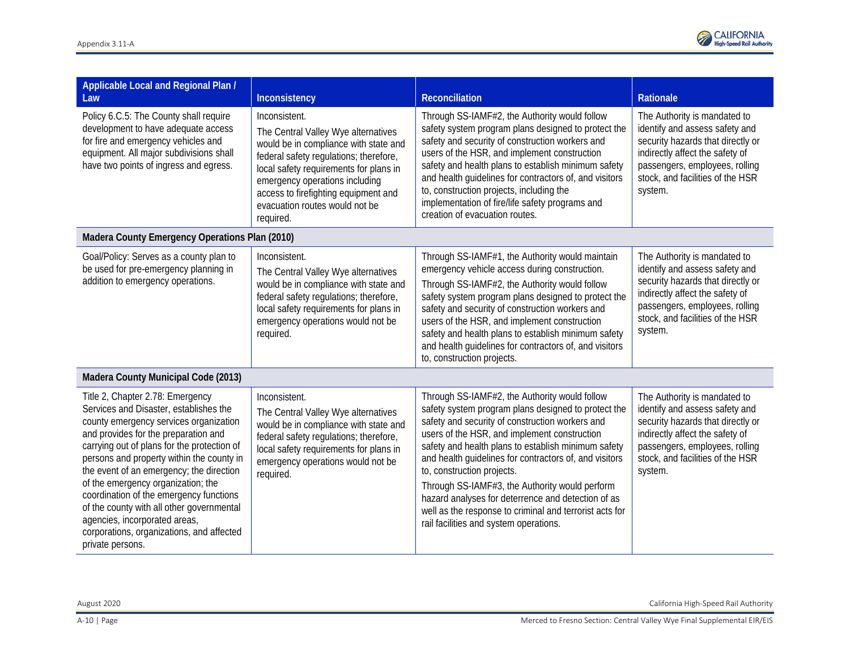

| Applicable Local and Regional Plan /<br>Law                                                                                                                                                                                                                                                                                                                                                                                                                                                                                          | Inconsistency                                                                                                                                                                                                                                                                                              | Reconciliation                                                                                                                                                                                                                                                                                                                                                                                                                                                                                                                                                      | Rationale                                                                                                                                                                                                               |
|--------------------------------------------------------------------------------------------------------------------------------------------------------------------------------------------------------------------------------------------------------------------------------------------------------------------------------------------------------------------------------------------------------------------------------------------------------------------------------------------------------------------------------------|------------------------------------------------------------------------------------------------------------------------------------------------------------------------------------------------------------------------------------------------------------------------------------------------------------|---------------------------------------------------------------------------------------------------------------------------------------------------------------------------------------------------------------------------------------------------------------------------------------------------------------------------------------------------------------------------------------------------------------------------------------------------------------------------------------------------------------------------------------------------------------------|-------------------------------------------------------------------------------------------------------------------------------------------------------------------------------------------------------------------------|
| Policy 6.C.5: The County shall require<br>development to have adequate access<br>for fire and emergency vehicles and<br>equipment. All major subdivisions shall<br>have two points of ingress and egress.                                                                                                                                                                                                                                                                                                                            | Inconsistent.<br>The Central Valley Wye alternatives<br>would be in compliance with state and<br>federal safety regulations; therefore,<br>local safety requirements for plans in<br>emergency operations including<br>access to firefighting equipment and<br>evacuation routes would not be<br>required. | Through SS-IAMF#2, the Authority would follow<br>safety system program plans designed to protect the<br>safety and security of construction workers and<br>users of the HSR, and implement construction<br>safety and health plans to establish minimum safety<br>and health guidelines for contractors of, and visitors<br>to, construction projects, including the<br>implementation of fire/life safety programs and<br>creation of evacuation routes.                                                                                                           | The Authority is mandated to<br>identify and assess safety and<br>security hazards that directly or<br>indirectly affect the safety of<br>passengers, employees, rolling<br>stock, and facilities of the HSR<br>system. |
| Madera County Emergency Operations Plan (2010)                                                                                                                                                                                                                                                                                                                                                                                                                                                                                       |                                                                                                                                                                                                                                                                                                            |                                                                                                                                                                                                                                                                                                                                                                                                                                                                                                                                                                     |                                                                                                                                                                                                                         |
| Goal/Policy: Serves as a county plan to<br>be used for pre-emergency planning in<br>addition to emergency operations.                                                                                                                                                                                                                                                                                                                                                                                                                | Inconsistent.<br>The Central Valley Wye alternatives<br>would be in compliance with state and<br>federal safety regulations; therefore,<br>local safety requirements for plans in<br>emergency operations would not be<br>required.                                                                        | Through SS-IAMF#1, the Authority would maintain<br>emergency vehicle access during construction.<br>Through SS-IAMF#2, the Authority would follow<br>safety system program plans designed to protect the<br>safety and security of construction workers and<br>users of the HSR, and implement construction<br>safety and health plans to establish minimum safety<br>and health guidelines for contractors of, and visitors<br>to, construction projects.                                                                                                          | The Authority is mandated to<br>identify and assess safety and<br>security hazards that directly or<br>indirectly affect the safety of<br>passengers, employees, rolling<br>stock, and facilities of the HSR<br>system. |
| Madera County Municipal Code (2013)                                                                                                                                                                                                                                                                                                                                                                                                                                                                                                  |                                                                                                                                                                                                                                                                                                            |                                                                                                                                                                                                                                                                                                                                                                                                                                                                                                                                                                     |                                                                                                                                                                                                                         |
| Title 2, Chapter 2.78: Emergency<br>Services and Disaster, establishes the<br>county emergency services organization<br>and provides for the preparation and<br>carrying out of plans for the protection of<br>persons and property within the county in<br>the event of an emergency; the direction<br>of the emergency organization; the<br>coordination of the emergency functions<br>of the county with all other governmental<br>agencies, incorporated areas,<br>corporations, organizations, and affected<br>private persons. | Inconsistent.<br>The Central Valley Wye alternatives<br>would be in compliance with state and<br>federal safety regulations; therefore,<br>local safety requirements for plans in<br>emergency operations would not be<br>required.                                                                        | Through SS-IAMF#2, the Authority would follow<br>safety system program plans designed to protect the<br>safety and security of construction workers and<br>users of the HSR, and implement construction<br>safety and health plans to establish minimum safety<br>and health guidelines for contractors of, and visitors<br>to, construction projects.<br>Through SS-IAMF#3, the Authority would perform<br>hazard analyses for deterrence and detection of as<br>well as the response to criminal and terrorist acts for<br>rail facilities and system operations. | The Authority is mandated to<br>identify and assess safety and<br>security hazards that directly or<br>indirectly affect the safety of<br>passengers, employees, rolling<br>stock, and facilities of the HSR<br>system. |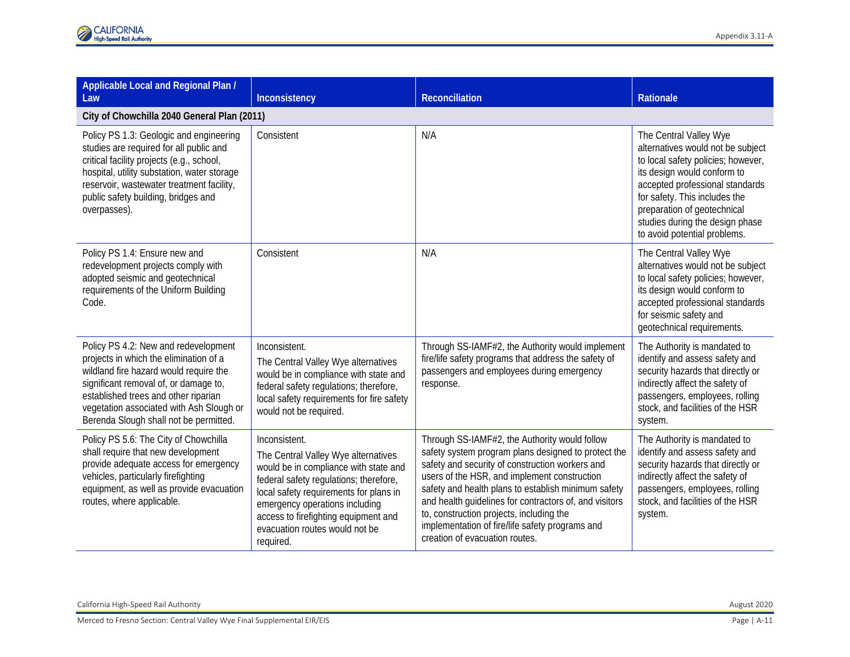| Applicable Local and Regional Plan /<br>Law                                                                                                                                                                                                                                                     | Inconsistency                                                                                                                                                                                                                                                                                              | <b>Reconciliation</b>                                                                                                                                                                                                                                                                                                                                                                                                                                     | <b>Rationale</b>                                                                                                                                                                                                                                                                                       |
|-------------------------------------------------------------------------------------------------------------------------------------------------------------------------------------------------------------------------------------------------------------------------------------------------|------------------------------------------------------------------------------------------------------------------------------------------------------------------------------------------------------------------------------------------------------------------------------------------------------------|-----------------------------------------------------------------------------------------------------------------------------------------------------------------------------------------------------------------------------------------------------------------------------------------------------------------------------------------------------------------------------------------------------------------------------------------------------------|--------------------------------------------------------------------------------------------------------------------------------------------------------------------------------------------------------------------------------------------------------------------------------------------------------|
| City of Chowchilla 2040 General Plan (2011)                                                                                                                                                                                                                                                     |                                                                                                                                                                                                                                                                                                            |                                                                                                                                                                                                                                                                                                                                                                                                                                                           |                                                                                                                                                                                                                                                                                                        |
| Policy PS 1.3: Geologic and engineering<br>studies are required for all public and<br>critical facility projects (e.g., school,<br>hospital, utility substation, water storage<br>reservoir, wastewater treatment facility,<br>public safety building, bridges and<br>overpasses).              | Consistent                                                                                                                                                                                                                                                                                                 | N/A                                                                                                                                                                                                                                                                                                                                                                                                                                                       | The Central Valley Wye<br>alternatives would not be subject<br>to local safety policies; however,<br>its design would conform to<br>accepted professional standards<br>for safety. This includes the<br>preparation of geotechnical<br>studies during the design phase<br>to avoid potential problems. |
| Policy PS 1.4: Ensure new and<br>redevelopment projects comply with<br>adopted seismic and geotechnical<br>requirements of the Uniform Building<br>Code.                                                                                                                                        | Consistent                                                                                                                                                                                                                                                                                                 | N/A                                                                                                                                                                                                                                                                                                                                                                                                                                                       | The Central Valley Wye<br>alternatives would not be subject<br>to local safety policies; however,<br>its design would conform to<br>accepted professional standards<br>for seismic safety and<br>geotechnical requirements.                                                                            |
| Policy PS 4.2: New and redevelopment<br>projects in which the elimination of a<br>wildland fire hazard would require the<br>significant removal of, or damage to,<br>established trees and other riparian<br>vegetation associated with Ash Slough or<br>Berenda Slough shall not be permitted. | Inconsistent.<br>The Central Valley Wye alternatives<br>would be in compliance with state and<br>federal safety regulations; therefore,<br>local safety requirements for fire safety<br>would not be required.                                                                                             | Through SS-IAMF#2, the Authority would implement<br>fire/life safety programs that address the safety of<br>passengers and employees during emergency<br>response.                                                                                                                                                                                                                                                                                        | The Authority is mandated to<br>identify and assess safety and<br>security hazards that directly or<br>indirectly affect the safety of<br>passengers, employees, rolling<br>stock, and facilities of the HSR<br>system.                                                                                |
| Policy PS 5.6: The City of Chowchilla<br>shall require that new development<br>provide adequate access for emergency<br>vehicles, particularly firefighting<br>equipment, as well as provide evacuation<br>routes, where applicable.                                                            | Inconsistent.<br>The Central Valley Wye alternatives<br>would be in compliance with state and<br>federal safety regulations; therefore,<br>local safety requirements for plans in<br>emergency operations including<br>access to firefighting equipment and<br>evacuation routes would not be<br>required. | Through SS-IAMF#2, the Authority would follow<br>safety system program plans designed to protect the<br>safety and security of construction workers and<br>users of the HSR, and implement construction<br>safety and health plans to establish minimum safety<br>and health guidelines for contractors of, and visitors<br>to, construction projects, including the<br>implementation of fire/life safety programs and<br>creation of evacuation routes. | The Authority is mandated to<br>identify and assess safety and<br>security hazards that directly or<br>indirectly affect the safety of<br>passengers, employees, rolling<br>stock, and facilities of the HSR<br>system.                                                                                |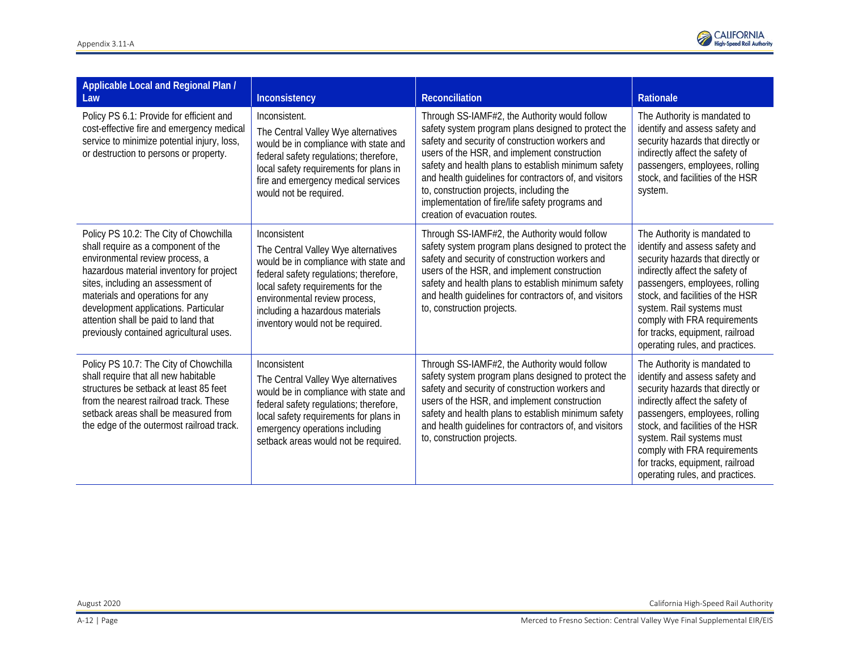

| Applicable Local and Regional Plan /<br>Law                                                                                                                                                                                                                                                                                                                      | Inconsistency                                                                                                                                                                                                                                                                       | <b>Reconciliation</b>                                                                                                                                                                                                                                                                                                                                                                                                                                     | Rationale                                                                                                                                                                                                                                                                                                                                       |
|------------------------------------------------------------------------------------------------------------------------------------------------------------------------------------------------------------------------------------------------------------------------------------------------------------------------------------------------------------------|-------------------------------------------------------------------------------------------------------------------------------------------------------------------------------------------------------------------------------------------------------------------------------------|-----------------------------------------------------------------------------------------------------------------------------------------------------------------------------------------------------------------------------------------------------------------------------------------------------------------------------------------------------------------------------------------------------------------------------------------------------------|-------------------------------------------------------------------------------------------------------------------------------------------------------------------------------------------------------------------------------------------------------------------------------------------------------------------------------------------------|
| Policy PS 6.1: Provide for efficient and<br>cost-effective fire and emergency medical<br>service to minimize potential injury, loss,<br>or destruction to persons or property.                                                                                                                                                                                   | Inconsistent.<br>The Central Valley Wye alternatives<br>would be in compliance with state and<br>federal safety regulations; therefore,<br>local safety requirements for plans in<br>fire and emergency medical services<br>would not be required.                                  | Through SS-IAMF#2, the Authority would follow<br>safety system program plans designed to protect the<br>safety and security of construction workers and<br>users of the HSR, and implement construction<br>safety and health plans to establish minimum safety<br>and health guidelines for contractors of, and visitors<br>to, construction projects, including the<br>implementation of fire/life safety programs and<br>creation of evacuation routes. | The Authority is mandated to<br>identify and assess safety and<br>security hazards that directly or<br>indirectly affect the safety of<br>passengers, employees, rolling<br>stock, and facilities of the HSR<br>system.                                                                                                                         |
| Policy PS 10.2: The City of Chowchilla<br>shall require as a component of the<br>environmental review process, a<br>hazardous material inventory for project<br>sites, including an assessment of<br>materials and operations for any<br>development applications. Particular<br>attention shall be paid to land that<br>previously contained agricultural uses. | Inconsistent<br>The Central Valley Wye alternatives<br>would be in compliance with state and<br>federal safety regulations; therefore,<br>local safety requirements for the<br>environmental review process,<br>including a hazardous materials<br>inventory would not be required. | Through SS-IAMF#2, the Authority would follow<br>safety system program plans designed to protect the<br>safety and security of construction workers and<br>users of the HSR, and implement construction<br>safety and health plans to establish minimum safety<br>and health guidelines for contractors of, and visitors<br>to, construction projects.                                                                                                    | The Authority is mandated to<br>identify and assess safety and<br>security hazards that directly or<br>indirectly affect the safety of<br>passengers, employees, rolling<br>stock, and facilities of the HSR<br>system. Rail systems must<br>comply with FRA requirements<br>for tracks, equipment, railroad<br>operating rules, and practices. |
| Policy PS 10.7: The City of Chowchilla<br>shall require that all new habitable<br>structures be setback at least 85 feet<br>from the nearest railroad track. These<br>setback areas shall be measured from<br>the edge of the outermost railroad track.                                                                                                          | Inconsistent<br>The Central Valley Wye alternatives<br>would be in compliance with state and<br>federal safety regulations; therefore,<br>local safety requirements for plans in<br>emergency operations including<br>setback areas would not be required.                          | Through SS-IAMF#2, the Authority would follow<br>safety system program plans designed to protect the<br>safety and security of construction workers and<br>users of the HSR, and implement construction<br>safety and health plans to establish minimum safety<br>and health guidelines for contractors of, and visitors<br>to, construction projects.                                                                                                    | The Authority is mandated to<br>identify and assess safety and<br>security hazards that directly or<br>indirectly affect the safety of<br>passengers, employees, rolling<br>stock, and facilities of the HSR<br>system. Rail systems must<br>comply with FRA requirements<br>for tracks, equipment, railroad<br>operating rules, and practices. |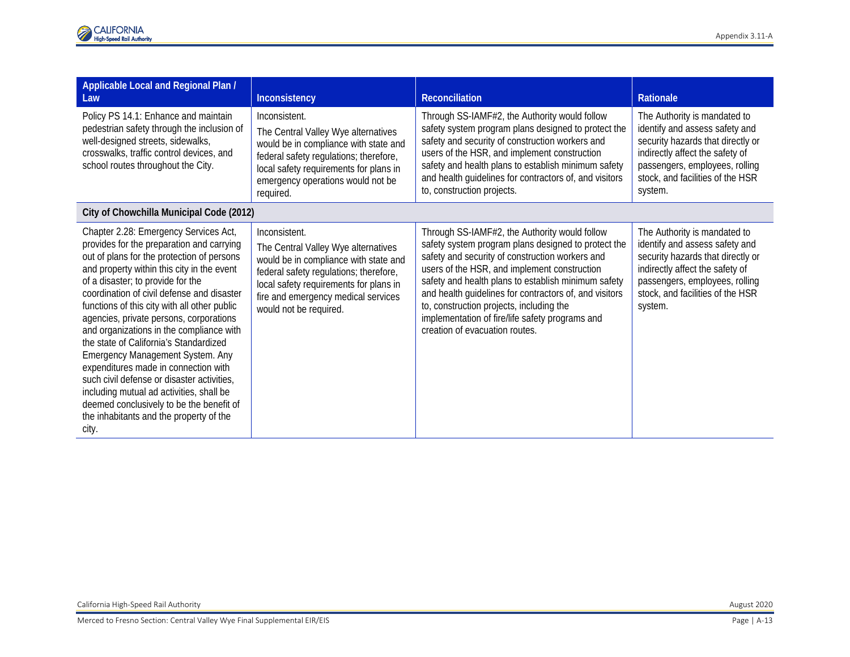| Applicable Local and Regional Plan /<br>Law                                                                                                                                                                                                                                                                                                                                                                                                                                                                                                                                                                                                                                                                              | Inconsistency                                                                                                                                                                                                                                      | Reconciliation                                                                                                                                                                                                                                                                                                                                                                                                                                            | Rationale                                                                                                                                                                                                               |
|--------------------------------------------------------------------------------------------------------------------------------------------------------------------------------------------------------------------------------------------------------------------------------------------------------------------------------------------------------------------------------------------------------------------------------------------------------------------------------------------------------------------------------------------------------------------------------------------------------------------------------------------------------------------------------------------------------------------------|----------------------------------------------------------------------------------------------------------------------------------------------------------------------------------------------------------------------------------------------------|-----------------------------------------------------------------------------------------------------------------------------------------------------------------------------------------------------------------------------------------------------------------------------------------------------------------------------------------------------------------------------------------------------------------------------------------------------------|-------------------------------------------------------------------------------------------------------------------------------------------------------------------------------------------------------------------------|
| Policy PS 14.1: Enhance and maintain<br>pedestrian safety through the inclusion of<br>well-designed streets, sidewalks,<br>crosswalks, traffic control devices, and<br>school routes throughout the City.                                                                                                                                                                                                                                                                                                                                                                                                                                                                                                                | Inconsistent.<br>The Central Valley Wye alternatives<br>would be in compliance with state and<br>federal safety regulations; therefore,<br>local safety requirements for plans in<br>emergency operations would not be<br>required.                | Through SS-IAMF#2, the Authority would follow<br>safety system program plans designed to protect the<br>safety and security of construction workers and<br>users of the HSR, and implement construction<br>safety and health plans to establish minimum safety<br>and health guidelines for contractors of, and visitors<br>to, construction projects.                                                                                                    | The Authority is mandated to<br>identify and assess safety and<br>security hazards that directly or<br>indirectly affect the safety of<br>passengers, employees, rolling<br>stock, and facilities of the HSR<br>system. |
| City of Chowchilla Municipal Code (2012)                                                                                                                                                                                                                                                                                                                                                                                                                                                                                                                                                                                                                                                                                 |                                                                                                                                                                                                                                                    |                                                                                                                                                                                                                                                                                                                                                                                                                                                           |                                                                                                                                                                                                                         |
| Chapter 2.28: Emergency Services Act,<br>provides for the preparation and carrying<br>out of plans for the protection of persons<br>and property within this city in the event<br>of a disaster; to provide for the<br>coordination of civil defense and disaster<br>functions of this city with all other public<br>agencies, private persons, corporations<br>and organizations in the compliance with<br>the state of California's Standardized<br>Emergency Management System. Any<br>expenditures made in connection with<br>such civil defense or disaster activities,<br>including mutual ad activities, shall be<br>deemed conclusively to be the benefit of<br>the inhabitants and the property of the<br>city. | Inconsistent.<br>The Central Valley Wye alternatives<br>would be in compliance with state and<br>federal safety regulations; therefore,<br>local safety requirements for plans in<br>fire and emergency medical services<br>would not be required. | Through SS-IAMF#2, the Authority would follow<br>safety system program plans designed to protect the<br>safety and security of construction workers and<br>users of the HSR, and implement construction<br>safety and health plans to establish minimum safety<br>and health guidelines for contractors of, and visitors<br>to, construction projects, including the<br>implementation of fire/life safety programs and<br>creation of evacuation routes. | The Authority is mandated to<br>identify and assess safety and<br>security hazards that directly or<br>indirectly affect the safety of<br>passengers, employees, rolling<br>stock, and facilities of the HSR<br>system. |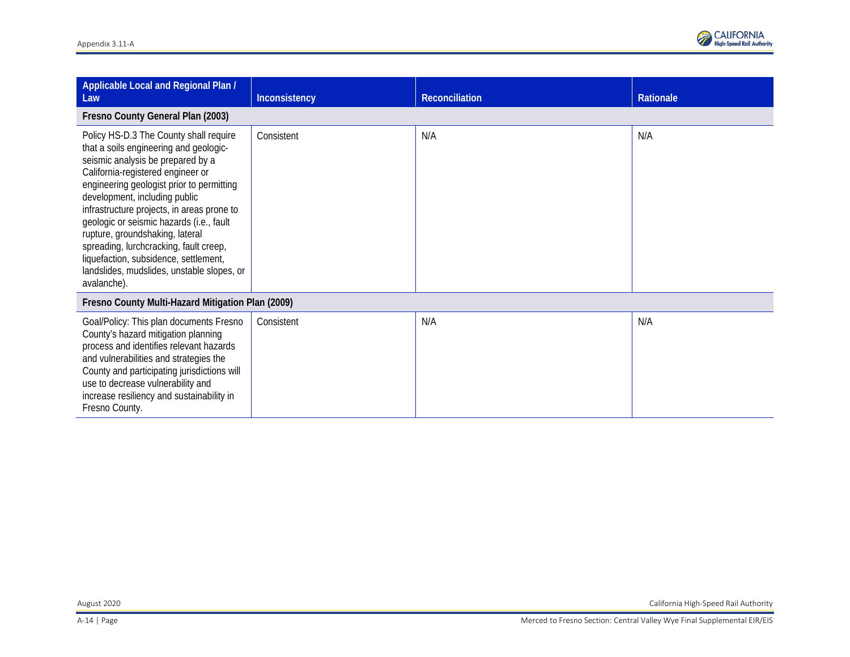

| Applicable Local and Regional Plan /<br>Law                                                                                                                                                                                                                                                                                                                                                                                                                                                                           | Inconsistency | Reconciliation | Rationale |  |
|-----------------------------------------------------------------------------------------------------------------------------------------------------------------------------------------------------------------------------------------------------------------------------------------------------------------------------------------------------------------------------------------------------------------------------------------------------------------------------------------------------------------------|---------------|----------------|-----------|--|
| Fresno County General Plan (2003)                                                                                                                                                                                                                                                                                                                                                                                                                                                                                     |               |                |           |  |
| Policy HS-D.3 The County shall require<br>that a soils engineering and geologic-<br>seismic analysis be prepared by a<br>California-registered engineer or<br>engineering geologist prior to permitting<br>development, including public<br>infrastructure projects, in areas prone to<br>geologic or seismic hazards (i.e., fault<br>rupture, groundshaking, lateral<br>spreading, lurchcracking, fault creep,<br>liquefaction, subsidence, settlement,<br>landslides, mudslides, unstable slopes, or<br>avalanche). | Consistent    | N/A            | N/A       |  |
| Fresno County Multi-Hazard Mitigation Plan (2009)                                                                                                                                                                                                                                                                                                                                                                                                                                                                     |               |                |           |  |
| Goal/Policy: This plan documents Fresno<br>County's hazard mitigation planning<br>process and identifies relevant hazards<br>and vulnerabilities and strategies the<br>County and participating jurisdictions will<br>use to decrease vulnerability and<br>increase resiliency and sustainability in<br>Fresno County.                                                                                                                                                                                                | Consistent    | N/A            | N/A       |  |

August 2020 California High-Speed Rail Authority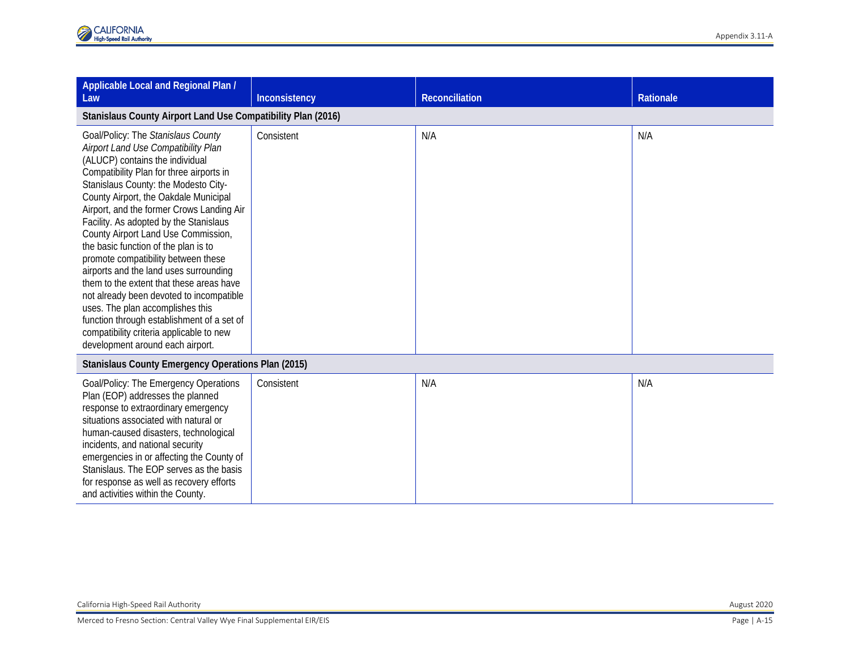| Applicable Local and Regional Plan /<br>Law                                                                                                                                                                                                                                                                                                                                                                                                                                                                                                                                                                                                                                                                                                                | Inconsistency | <b>Reconciliation</b> | <b>Rationale</b> |  |  |
|------------------------------------------------------------------------------------------------------------------------------------------------------------------------------------------------------------------------------------------------------------------------------------------------------------------------------------------------------------------------------------------------------------------------------------------------------------------------------------------------------------------------------------------------------------------------------------------------------------------------------------------------------------------------------------------------------------------------------------------------------------|---------------|-----------------------|------------------|--|--|
| Stanislaus County Airport Land Use Compatibility Plan (2016)                                                                                                                                                                                                                                                                                                                                                                                                                                                                                                                                                                                                                                                                                               |               |                       |                  |  |  |
| Goal/Policy: The Stanislaus County<br>Airport Land Use Compatibility Plan<br>(ALUCP) contains the individual<br>Compatibility Plan for three airports in<br>Stanislaus County: the Modesto City-<br>County Airport, the Oakdale Municipal<br>Airport, and the former Crows Landing Air<br>Facility. As adopted by the Stanislaus<br>County Airport Land Use Commission,<br>the basic function of the plan is to<br>promote compatibility between these<br>airports and the land uses surrounding<br>them to the extent that these areas have<br>not already been devoted to incompatible<br>uses. The plan accomplishes this<br>function through establishment of a set of<br>compatibility criteria applicable to new<br>development around each airport. | Consistent    | N/A                   | N/A              |  |  |
| Stanislaus County Emergency Operations Plan (2015)                                                                                                                                                                                                                                                                                                                                                                                                                                                                                                                                                                                                                                                                                                         |               |                       |                  |  |  |
| Goal/Policy: The Emergency Operations<br>Plan (EOP) addresses the planned<br>response to extraordinary emergency<br>situations associated with natural or<br>human-caused disasters, technological<br>incidents, and national security<br>emergencies in or affecting the County of<br>Stanislaus. The EOP serves as the basis<br>for response as well as recovery efforts<br>and activities within the County.                                                                                                                                                                                                                                                                                                                                            | Consistent    | N/A                   | N/A              |  |  |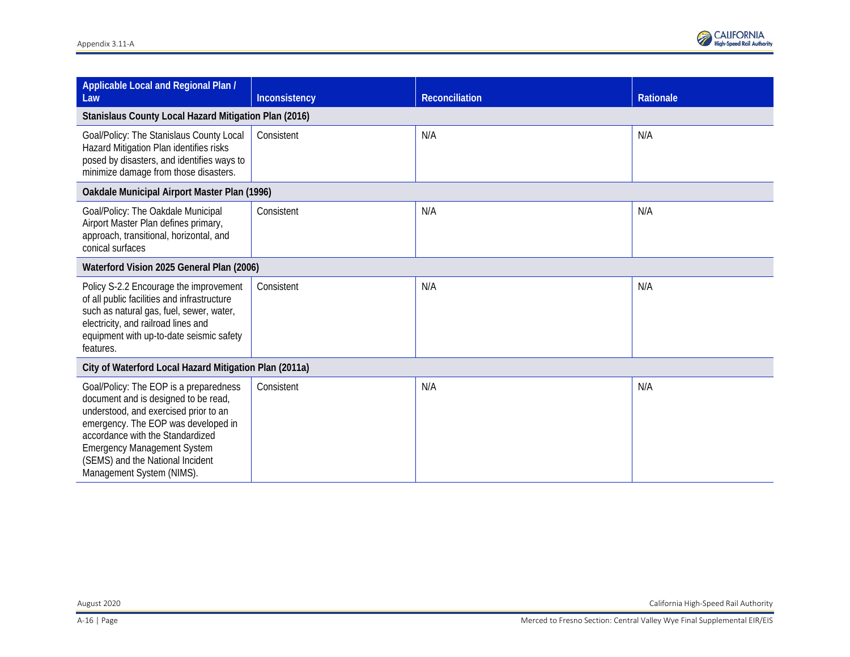

| Applicable Local and Regional Plan /<br>Law                                                                                                                                                                                                                                                               | Inconsistency | <b>Reconciliation</b> | <b>Rationale</b> |  |  |
|-----------------------------------------------------------------------------------------------------------------------------------------------------------------------------------------------------------------------------------------------------------------------------------------------------------|---------------|-----------------------|------------------|--|--|
| Stanislaus County Local Hazard Mitigation Plan (2016)                                                                                                                                                                                                                                                     |               |                       |                  |  |  |
| Goal/Policy: The Stanislaus County Local<br>Hazard Mitigation Plan identifies risks<br>posed by disasters, and identifies ways to<br>minimize damage from those disasters.                                                                                                                                | Consistent    | N/A                   | N/A              |  |  |
| Oakdale Municipal Airport Master Plan (1996)                                                                                                                                                                                                                                                              |               |                       |                  |  |  |
| Goal/Policy: The Oakdale Municipal<br>Airport Master Plan defines primary,<br>approach, transitional, horizontal, and<br>conical surfaces                                                                                                                                                                 | Consistent    | N/A                   | N/A              |  |  |
| Waterford Vision 2025 General Plan (2006)                                                                                                                                                                                                                                                                 |               |                       |                  |  |  |
| Policy S-2.2 Encourage the improvement<br>of all public facilities and infrastructure<br>such as natural gas, fuel, sewer, water,<br>electricity, and railroad lines and<br>equipment with up-to-date seismic safety<br>features.                                                                         | Consistent    | N/A                   | N/A              |  |  |
| City of Waterford Local Hazard Mitigation Plan (2011a)                                                                                                                                                                                                                                                    |               |                       |                  |  |  |
| Goal/Policy: The EOP is a preparedness<br>document and is designed to be read,<br>understood, and exercised prior to an<br>emergency. The EOP was developed in<br>accordance with the Standardized<br><b>Emergency Management System</b><br>(SEMS) and the National Incident<br>Management System (NIMS). | Consistent    | N/A                   | N/A              |  |  |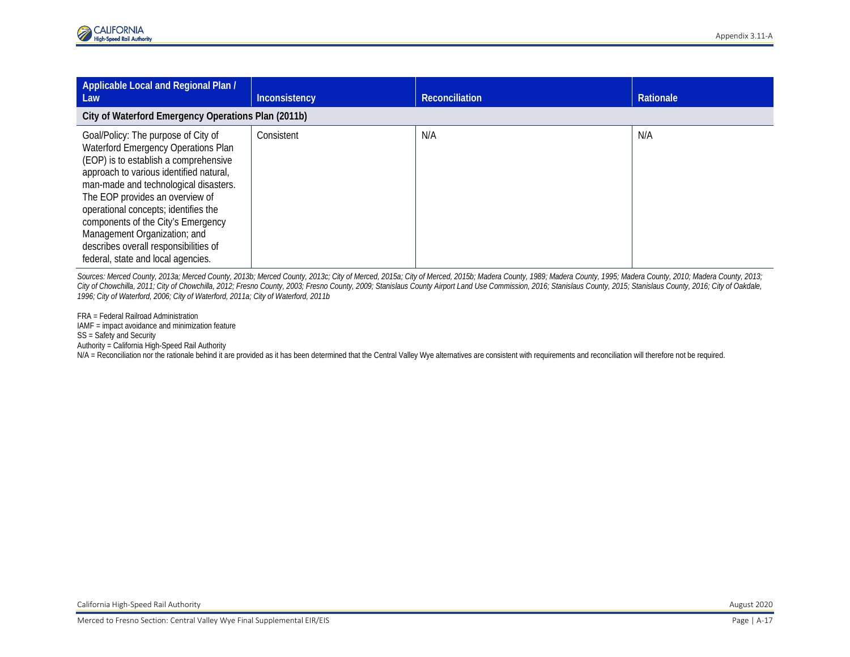| Applicable Local and Regional Plan /<br>Law                                                                                                                                                                                                                                                                                                                                                                                             | Inconsistency | <b>Reconciliation</b> | Rationale |  |  |
|-----------------------------------------------------------------------------------------------------------------------------------------------------------------------------------------------------------------------------------------------------------------------------------------------------------------------------------------------------------------------------------------------------------------------------------------|---------------|-----------------------|-----------|--|--|
| City of Waterford Emergency Operations Plan (2011b)                                                                                                                                                                                                                                                                                                                                                                                     |               |                       |           |  |  |
| Goal/Policy: The purpose of City of<br>Waterford Emergency Operations Plan<br>(EOP) is to establish a comprehensive<br>approach to various identified natural,<br>man-made and technological disasters.<br>The EOP provides an overview of<br>operational concepts; identifies the<br>components of the City's Emergency<br>Management Organization; and<br>describes overall responsibilities of<br>federal, state and local agencies. | Consistent    | N/A                   | N/A       |  |  |

Sources: Merced County, 2013a; Merced County, 2013b; Merced County, 2013c; City of Merced, 2015a; City of Merced, 2015b; Madera County, 1989; Madera County, 1995; Madera County, 1901; Madera County, 2010; Madera County, 20 City of Chowchilla, 2011; City of Chowchilla, 2012; Fresno County, 2003; Fresno County, 2009; Stanislaus County Airport Land Use Commission, 2016; Stanislaus County, 2015; Stanislaus County, 2015; Stanislaus County, 2016; *1996; City of Waterford, 2006; City of Waterford, 2011a; City of Waterford, 2011b*

FRA = Federal Railroad Administration IAMF = impact avoidance and minimization feature SS = Safety and Security Authority = California High-Speed Rail Authority N/A = Reconciliation nor the rationale behind it are provided as it has been determined that the Central Valley Wye alternatives are consistent with requirements and reconciliation will therefore not be required.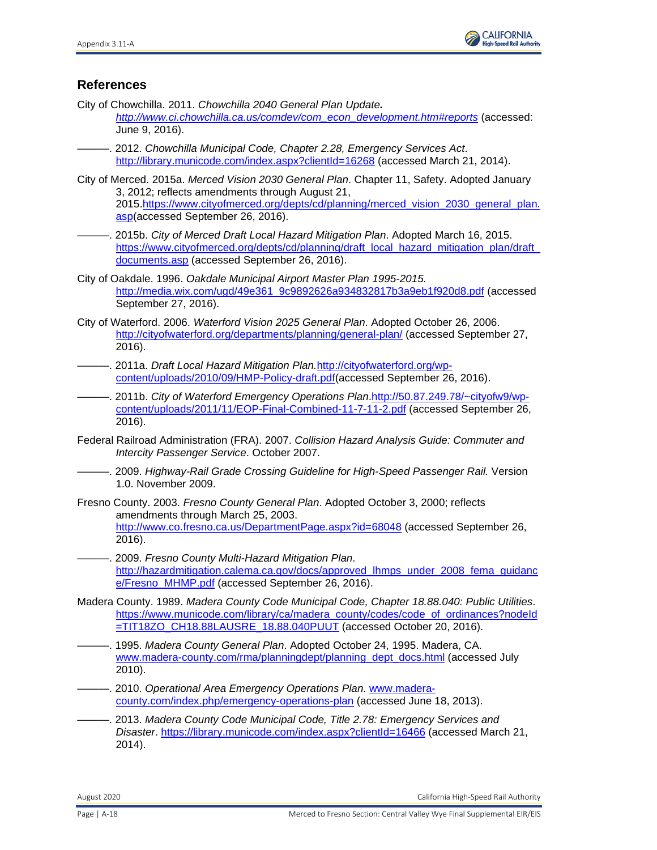

## **References**

City of Chowchilla. 2011. *Chowchilla 2040 General Plan Update.* 

*[http://www.ci.chowchilla.ca.us/comdev/com\\_econ\\_development.htm#reports](http://www.ci.chowchilla.ca.us/comdev/com_econ_development.htm#reports)* (accessed: June 9, 2016).

———. 2012. *Chowchilla Municipal Code, Chapter 2.28, Emergency Services Act*. <http://library.municode.com/index.aspx?clientId=16268> (accessed March 21, 2014).

City of Merced. 2015a. *Merced Vision 2030 General Plan*. Chapter 11, Safety. Adopted January 3, 2012; reflects amendments through August 21, 2015[.https://www.cityofmerced.org/depts/cd/planning/merced\\_vision\\_2030\\_general\\_plan.](https://www.cityofmerced.org/depts/cd/planning/merced_vision_2030_general_plan.asp) [asp\(](https://www.cityofmerced.org/depts/cd/planning/merced_vision_2030_general_plan.asp)accessed September 26, 2016).

———. 2015b. *City of Merced Draft Local Hazard Mitigation Plan*. Adopted March 16, 2015. [https://www.cityofmerced.org/depts/cd/planning/draft\\_local\\_hazard\\_mitigation\\_plan/draft\\_](https://www.cityofmerced.org/depts/cd/planning/draft_local_hazard_mitigation_plan/draft_documents.asp) [documents.asp](https://www.cityofmerced.org/depts/cd/planning/draft_local_hazard_mitigation_plan/draft_documents.asp) (accessed September 26, 2016).

City of Oakdale. 1996. *Oakdale Municipal Airport Master Plan 1995-2015.* [http://media.wix.com/ugd/49e361\\_9c9892626a934832817b3a9eb1f920d8.pdf](http://media.wix.com/ugd/49e361_9c9892626a934832817b3a9eb1f920d8.pdf) (accessed September 27, 2016).

- City of Waterford. 2006. *Waterford Vision 2025 General Plan*. Adopted October 26, 2006. <http://cityofwaterford.org/departments/planning/general-plan/> (accessed September 27, 2016).
- ———. 2011a. *Draft Local Hazard Mitigation Plan.*[http://cityofwaterford.org/wp](http://cityofwaterford.org/wp-content/uploads/2010/09/HMP-Policy-draft.pdf)[content/uploads/2010/09/HMP-Policy-draft.pdf\(](http://cityofwaterford.org/wp-content/uploads/2010/09/HMP-Policy-draft.pdf)accessed September 26, 2016).
- ———. 2011b. *City of Waterford Emergency Operations Plan*[.http://50.87.249.78/~cityofw9/wp](http://50.87.249.78/%7Ecityofw9/wp-content/uploads/2011/11/EOP-Final-Combined-11-7-11-2.pdf)[content/uploads/2011/11/EOP-Final-Combined-11-7-11-2.pdf](http://50.87.249.78/%7Ecityofw9/wp-content/uploads/2011/11/EOP-Final-Combined-11-7-11-2.pdf) (accessed September 26, 2016).
- Federal Railroad Administration (FRA). 2007. *Collision Hazard Analysis Guide: Commuter and Intercity Passenger Service*. October 2007.
- ———. 2009. *Highway-Rail Grade Crossing Guideline for High-Speed Passenger Rail.* Version 1.0. November 2009.
- Fresno County. 2003. *Fresno County General Plan*. Adopted October 3, 2000; reflects amendments through March 25, 2003. <http://www.co.fresno.ca.us/DepartmentPage.aspx?id=68048> (accessed September 26, 2016).
- ———. 2009. *Fresno County Multi-Hazard Mitigation Plan*. [http://hazardmitigation.calema.ca.gov/docs/approved\\_lhmps\\_under\\_2008\\_fema\\_guidanc](http://hazardmitigation.calema.ca.gov/docs/approved_lhmps_under_2008_fema_guidance/Fresno_MHMP.pdf) [e/Fresno\\_MHMP.pdf](http://hazardmitigation.calema.ca.gov/docs/approved_lhmps_under_2008_fema_guidance/Fresno_MHMP.pdf) (accessed September 26, 2016).
- Madera County. 1989. *Madera County Code Municipal Code, Chapter 18.88.040: Public Utilities*. [https://www.municode.com/library/ca/madera\\_county/codes/code\\_of\\_ordinances?nodeId](https://www.municode.com/library/ca/madera_county/codes/code_of_ordinances?nodeId=TIT18ZO_CH18.88LAUSRE_18.88.040PUUT) [=TIT18ZO\\_CH18.88LAUSRE\\_18.88.040PUUT](https://www.municode.com/library/ca/madera_county/codes/code_of_ordinances?nodeId=TIT18ZO_CH18.88LAUSRE_18.88.040PUUT) (accessed October 20, 2016).
- ———. 1995. *Madera County General Plan*. Adopted October 24, 1995. Madera, CA. [www.madera-county.com/rma/planningdept/planning\\_dept\\_docs.html](http://www.madera-county.com/rma/planningdept/planning_dept_docs.html) (accessed July 2010).
- -. 2010. *Operational Area Emergency Operations Plan.* [www.madera](http://www.madera-county.com/index.php/emergency-operations-plan)[county.com/index.php/emergency-operations-plan](http://www.madera-county.com/index.php/emergency-operations-plan) (accessed June 18, 2013).
- ———. 2013. *Madera County Code Municipal Code, Title 2.78: Emergency Services and Disaster*.<https://library.municode.com/index.aspx?clientId=16466> (accessed March 21, 2014).

August 2020 California High-Speed Rail Authority